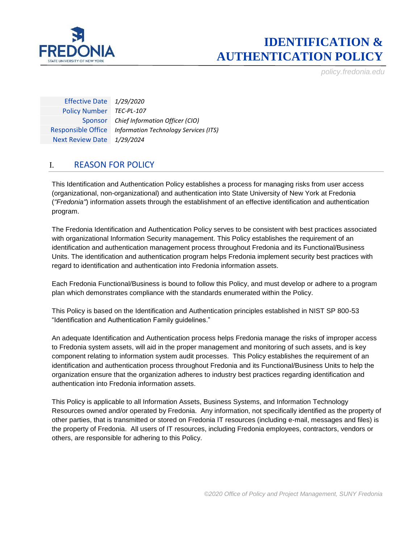

*policy.fredonia.edu*

Effective Date *1/29/2020* Policy Number *TEC-PL-107* Sponsor *Chief Information Officer (CIO)* Responsible Office *Information Technology Services (ITS)* Next Review Date *1/29/2024*

### I. REASON FOR POLICY

This Identification and Authentication Policy establishes a process for managing risks from user access (organizational, non-organizational) and authentication into State University of New York at Fredonia (*"Fredonia"*) information assets through the establishment of an effective identification and authentication program.

The Fredonia Identification and Authentication Policy serves to be consistent with best practices associated with organizational Information Security management. This Policy establishes the requirement of an identification and authentication management process throughout Fredonia and its Functional/Business Units. The identification and authentication program helps Fredonia implement security best practices with regard to identification and authentication into Fredonia information assets.

Each Fredonia Functional/Business is bound to follow this Policy, and must develop or adhere to a program plan which demonstrates compliance with the standards enumerated within the Policy.

This Policy is based on the Identification and Authentication principles established in NIST SP 800-53 "Identification and Authentication Family guidelines."

An adequate Identification and Authentication process helps Fredonia manage the risks of improper access to Fredonia system assets, will aid in the proper management and monitoring of such assets, and is key component relating to information system audit processes. This Policy establishes the requirement of an identification and authentication process throughout Fredonia and its Functional/Business Units to help the organization ensure that the organization adheres to industry best practices regarding identification and authentication into Fredonia information assets.

This Policy is applicable to all Information Assets, Business Systems, and Information Technology Resources owned and/or operated by Fredonia. Any information, not specifically identified as the property of other parties, that is transmitted or stored on Fredonia IT resources (including e-mail, messages and files) is the property of Fredonia. All users of IT resources, including Fredonia employees, contractors, vendors or others, are responsible for adhering to this Policy.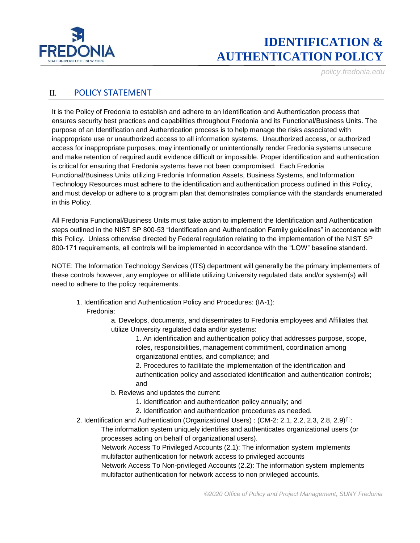

*policy.fredonia.edu*

#### II. POLICY STATEMENT

It is the Policy of Fredonia to establish and adhere to an Identification and Authentication process that ensures security best practices and capabilities throughout Fredonia and its Functional/Business Units. The purpose of an Identification and Authentication process is to help manage the risks associated with inappropriate use or unauthorized access to all information systems. Unauthorized access, or authorized access for inappropriate purposes, may intentionally or unintentionally render Fredonia systems unsecure and make retention of required audit evidence difficult or impossible. Proper identification and authentication is critical for ensuring that Fredonia systems have not been compromised. Each Fredonia Functional/Business Units utilizing Fredonia Information Assets, Business Systems, and Information Technology Resources must adhere to the identification and authentication process outlined in this Policy, and must develop or adhere to a program plan that demonstrates compliance with the standards enumerated in this Policy.

All Fredonia Functional/Business Units must take action to implement the Identification and Authentication steps outlined in the NIST SP 800-53 "Identification and Authentication Family guidelines" in accordance with this Policy. Unless otherwise directed by Federal regulation relating to the implementation of the NIST SP 800-171 requirements, all controls will be implemented in accordance with the "LOW" baseline standard.

NOTE: The Information Technology Services (ITS) department will generally be the primary implementers of these controls however, any employee or affiliate utilizing University regulated data and/or system(s) will need to adhere to the policy requirements.

1. Identification and Authentication Policy and Procedures: (IA-1): Fredonia:

> a. Develops, documents, and disseminates to Fredonia employees and Affiliates that utilize University regulated data and/or systems:

> > 1. An identification and authentication policy that addresses purpose, scope, roles, responsibilities, management commitment, coordination among organizational entities, and compliance; and

2. Procedures to facilitate the implementation of the identification and authentication policy and associated identification and authentication controls; and

- b. Reviews and updates the current:
	- 1. Identification and authentication policy annually; and
	- 2. Identification and authentication procedures as needed.
- 2. Identification and Authentication (Organizational Users) : (CM-2: 2.1, 2.2, 2.3, 2.8, 2.9)[1]: The information system uniquely identifies and authenticates organizational users (or processes acting on behalf of organizational users).

Network Access To Privileged Accounts (2.1): The information system implements multifactor authentication for network access to privileged accounts

Network Access To Non-privileged Accounts (2.2): The information system implements multifactor authentication for network access to non privileged accounts.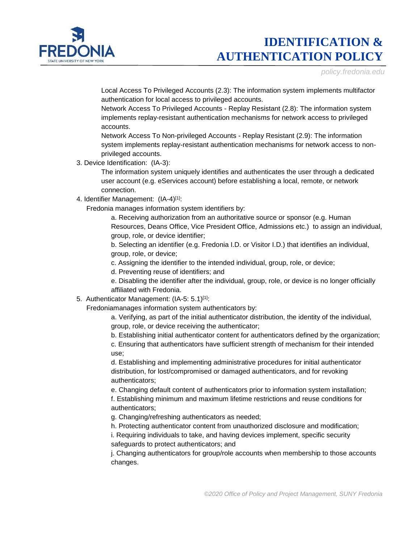

*policy.fredonia.edu*

Local Access To Privileged Accounts (2.3): The information system implements multifactor authentication for local access to privileged accounts.

Network Access To Privileged Accounts - Replay Resistant (2.8): The information system implements replay-resistant authentication mechanisms for network access to privileged accounts.

Network Access To Non-privileged Accounts - Replay Resistant (2.9): The information system implements replay-resistant authentication mechanisms for network access to nonprivileged accounts.

3. Device Identification: (IA-3):

The information system uniquely identifies and authenticates the user through a dedicated user account (e.g. eServices account) before establishing a local, remote, or network connection.

4. Identifier Management: (IA-4)[1]:

Fredonia manages information system identifiers by:

a. Receiving authorization from an authoritative source or sponsor (e.g. Human Resources, Deans Office, Vice President Office, Admissions etc.) to assign an individual, group, role, or device identifier;

b. Selecting an identifier (e.g. Fredonia I.D. or Visitor I.D.) that identifies an individual, group, role, or device;

c. Assigning the identifier to the intended individual, group, role, or device;

d. Preventing reuse of identifiers; and

e. Disabling the identifier after the individual, group, role, or device is no longer officially affiliated with Fredonia.

5. Authenticator Management: (IA-5: 5.1)[1]:

Fredoniamanages information system authenticators by:

a. Verifying, as part of the initial authenticator distribution, the identity of the individual, group, role, or device receiving the authenticator;

b. Establishing initial authenticator content for authenticators defined by the organization;

c. Ensuring that authenticators have sufficient strength of mechanism for their intended use;

d. Establishing and implementing administrative procedures for initial authenticator distribution, for lost/compromised or damaged authenticators, and for revoking authenticators;

e. Changing default content of authenticators prior to information system installation;

f. Establishing minimum and maximum lifetime restrictions and reuse conditions for authenticators;

g. Changing/refreshing authenticators as needed;

h. Protecting authenticator content from unauthorized disclosure and modification;

i. Requiring individuals to take, and having devices implement, specific security safeguards to protect authenticators; and

j. Changing authenticators for group/role accounts when membership to those accounts changes.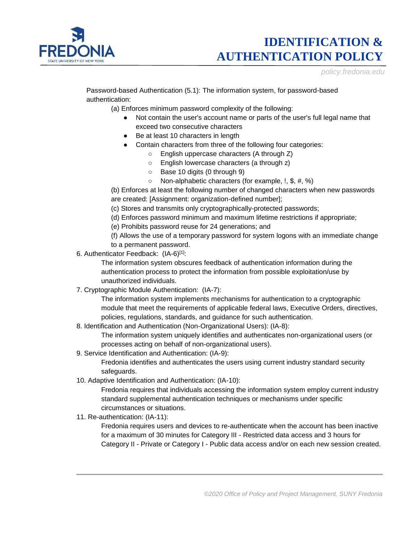

*policy.fredonia.edu*

Password-based Authentication (5.1): The information system, for password-based authentication:

(a) Enforces minimum password complexity of the following:

- Not contain the user's account name or parts of the user's full legal name that exceed two consecutive characters
- Be at least 10 characters in length
- Contain characters from three of the following four categories:
	- English uppercase characters (A through Z)
	- English lowercase characters (a through z)
	- Base 10 digits (0 through 9)
	- Non-alphabetic characters (for example, !, \$, #, %)

(b) Enforces at least the following number of changed characters when new passwords are created: [Assignment: organization-defined number];

(c) Stores and transmits only cryptographically-protected passwords;

- (d) Enforces password minimum and maximum lifetime restrictions if appropriate;
- (e) Prohibits password reuse for 24 generations; and

(f) Allows the use of a temporary password for system logons with an immediate change to a permanent password.

6. Authenticator Feedback: (IA-6)[1]:

The information system obscures feedback of authentication information during the authentication process to protect the information from possible exploitation/use by unauthorized individuals.

7. Cryptographic Module Authentication: (IA-7):

The information system implements mechanisms for authentication to a cryptographic module that meet the requirements of applicable federal laws, Executive Orders, directives, policies, regulations, standards, and guidance for such authentication.

8. Identification and Authentication (Non-Organizational Users): (IA-8):

The information system uniquely identifies and authenticates non-organizational users (or processes acting on behalf of non-organizational users).

9. Service Identification and Authentication: (IA-9):

Fredonia identifies and authenticates the users using current industry standard security safeguards.

10. Adaptive Identification and Authentication: (IA-10):

Fredonia requires that individuals accessing the information system employ current industry standard supplemental authentication techniques or mechanisms under specific circumstances or situations.

11. Re-authentication: (IA-11):

Fredonia requires users and devices to re-authenticate when the account has been inactive for a maximum of 30 minutes for Category III - Restricted data access and 3 hours for Category II - Private or Category I - Public data access and/or on each new session created.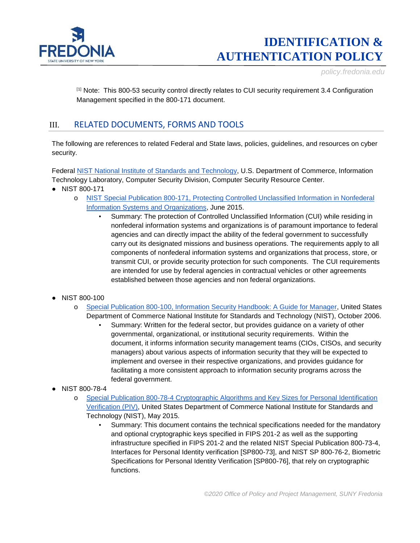

*policy.fredonia.edu*

[1] Note: This 800-53 security control directly relates to CUI security requirement 3.4 Configuration Management specified in the 800-171 document.

### III. RELATED DOCUMENTS, FORMS AND TOOLS

The following are references to related Federal and State laws, policies, guidelines, and resources on cyber security.

Federal [NIST National Institute of Standards and Technology,](http://csrc.nist.gov/) U.S. Department of Commerce, Information Technology Laboratory, Computer Security Division, Computer Security Resource Center.

- NIST 800-171
	- o [NIST Special Publication 800-171, Protecting Controlled Unclassified Information in Nonfederal](http://dx.doi.org/10.6028/NIST.SP.800-171)  [Information Systems and Organizations,](http://dx.doi.org/10.6028/NIST.SP.800-171) June 2015.
		- Summary: The protection of Controlled Unclassified Information (CUI) while residing in nonfederal information systems and organizations is of paramount importance to federal agencies and can directly impact the ability of the federal government to successfully carry out its designated missions and business operations. The requirements apply to all components of nonfederal information systems and organizations that process, store, or transmit CUI, or provide security protection for such components. The CUI requirements are intended for use by federal agencies in contractual vehicles or other agreements established between those agencies and non federal organizations.
- NIST 800-100
	- o [Special Publication 800-100, Information Security Handbook: A Guide for Manager,](http://csrc.nist.gov/publications/nistpubs/800-100/SP800-100-Mar07-2007.pdf) United States Department of Commerce National Institute for Standards and Technology (NIST), October 2006.
		- Summary: Written for the federal sector, but provides guidance on a variety of other governmental, organizational, or institutional security requirements. Within the document, it informs information security management teams (CIOs, CISOs, and security managers) about various aspects of information security that they will be expected to implement and oversee in their respective organizations, and provides guidance for facilitating a more consistent approach to information security programs across the federal government.
- NIST 800-78-4
	- o [Special Publication 800-78-4 Cryptographic Algorithms and Key Sizes for Personal Identification](http://dx.doi.org/10.6028/NIST.SP.800-78-4)  [Verification \(PIV\),](http://dx.doi.org/10.6028/NIST.SP.800-78-4) United States Department of Commerce National Institute for Standards and Technology (NIST), May 2015.
		- Summary: This document contains the technical specifications needed for the mandatory and optional cryptographic keys specified in FIPS 201-2 as well as the supporting infrastructure specified in FIPS 201-2 and the related NIST Special Publication 800-73-4, Interfaces for Personal Identity verification [SP800-73], and NIST SP 800-76-2, Biometric Specifications for Personal Identity Verification [SP800-76], that rely on cryptographic functions.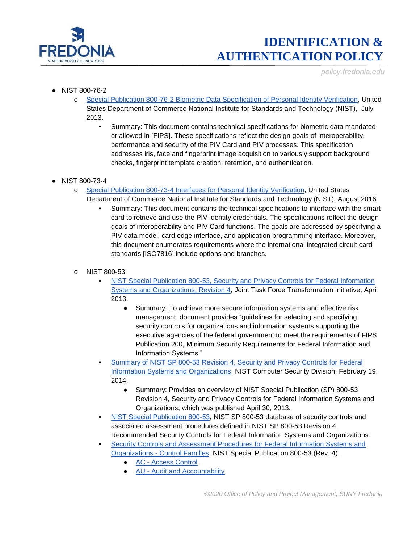

*policy.fredonia.edu*

- NIST 800-76-2
	- o [Special Publication 800-76-2 Biometric Data Specification of Personal Identity Verification,](http://dx.doi.org/10.6028/NIST.SP.800-76-2) United States Department of Commerce National Institute for Standards and Technology (NIST), July 2013.
		- Summary: This document contains technical specifications for biometric data mandated or allowed in [FIPS]. These specifications reflect the design goals of interoperability, performance and security of the PIV Card and PIV processes. This specification addresses iris, face and fingerprint image acquisition to variously support background checks, fingerprint template creation, retention, and authentication.
- NIST 800-73-4
	- o [Special Publication 800-73-4 Interfaces for Personal Identity Verification,](http://dx.doi.org/10.6028/NIST.SP.800-73-4) United States
		- Department of Commerce National Institute for Standards and Technology (NIST), August 2016. Summary: This document contains the technical specifications to interface with the smart
			- card to retrieve and use the PIV identity credentials. The specifications reflect the design goals of interoperability and PIV Card functions. The goals are addressed by specifying a PIV data model, card edge interface, and application programming interface. Moreover, this document enumerates requirements where the international integrated circuit card standards [ISO7816] include options and branches.
	- o NIST 800-53
		- NIST Special Publication 800-53, Security and Privacy Controls for Federal Information [Systems and Organizations, Revision 4,](http://nvlpubs.nist.gov/nistpubs/SpecialPublications/NIST.SP.800-53r4.pdf) Joint Task Force Transformation Initiative, April 2013.
			- Summary: To achieve more secure information systems and effective risk management, document provides "guidelines for selecting and specifying security controls for organizations and information systems supporting the executive agencies of the federal government to meet the requirements of FIPS Publication 200, Minimum Security Requirements for Federal Information and Information Systems."
		- Summary of NIST SP 800-53 Revision 4, Security and Privacy Controls for Federal [Information Systems and Organizations,](http://csrc.nist.gov/publications/nistpubs/800-53-rev4/sp800-53r4_summary.pdf) NIST Computer Security Division, February 19, 2014.
			- Summary: Provides an overview of NIST Special Publication (SP) 800-53 Revision 4, Security and Privacy Controls for Federal Information Systems and Organizations, which was published April 30, 2013.
		- [NIST Special Publication 800-53,](https://web.nvd.nist.gov/view/800-53/home) NIST SP 800-53 database of security controls and associated assessment procedures defined in NIST SP 800-53 Revision 4, Recommended Security Controls for Federal Information Systems and Organizations.
		- **Security Controls and Assessment Procedures for Federal Information Systems and** Organizations - [Control Families,](https://web.nvd.nist.gov/view/800-53/Rev4/home) NIST Special Publication 800-53 (Rev. 4).
			- AC [Access Control](http://web.nvd.nist.gov/view/800-53/Rev4/family?familyName=Access%20Control)
			- **AU [Audit and Accountability](http://web.nvd.nist.gov/view/800-53/Rev4/family?familyName=Audit%20and%20Accountability)**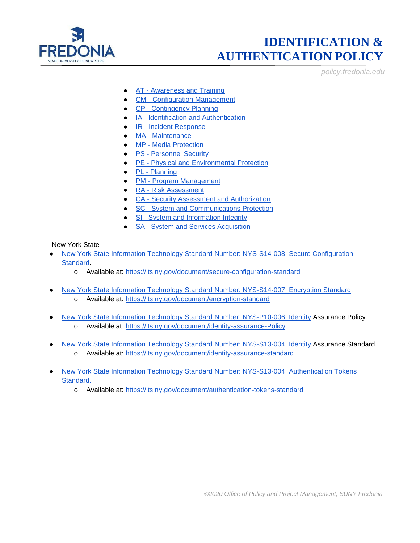

*policy.fredonia.edu*

- AT [Awareness and Training](http://web.nvd.nist.gov/view/800-53/Rev4/family?familyName=Awareness%20and%20Training)
- **CM [Configuration Management](http://web.nvd.nist.gov/view/800-53/Rev4/family?familyName=Configuration%20Management)**
- CP [Contingency Planning](http://web.nvd.nist.gov/view/800-53/Rev4/family?familyName=Contingency%20Planning)
- **IA [Identification and Authentication](http://web.nvd.nist.gov/view/800-53/Rev4/family?familyName=Identification%20and%20Authentication)**
- IR [Incident Response](http://web.nvd.nist.gov/view/800-53/Rev4/family?familyName=Incident%20Response)
- MA [Maintenance](http://web.nvd.nist.gov/view/800-53/Rev4/family?familyName=Maintenance)
- MP [Media Protection](http://web.nvd.nist.gov/view/800-53/Rev4/family?familyName=Media%20Protection)
- **PS [Personnel Security](http://web.nvd.nist.gov/view/800-53/Rev4/family?familyName=Personnel%20Security)**
- PE [Physical and Environmental Protection](http://web.nvd.nist.gov/view/800-53/Rev4/family?familyName=Physical%20and%20Environmental%20Protection)
- PL [Planning](http://web.nvd.nist.gov/view/800-53/Rev4/family?familyName=Planning)
- PM [Program Management](http://web.nvd.nist.gov/view/800-53/Rev4/family?familyName=Program%20Management)
- **RA [Risk Assessment](http://web.nvd.nist.gov/view/800-53/Rev4/family?familyName=Risk%20Assessment)**
- CA [Security Assessment and Authorization](http://web.nvd.nist.gov/view/800-53/Rev4/family?familyName=Security%20Assessment%20and%20Authorization)
- **SC [System and Communications Protection](http://web.nvd.nist.gov/view/800-53/Rev4/family?familyName=System%20and%20Communications%20Protection)**
- SI [System and Information Integrity](http://web.nvd.nist.gov/view/800-53/Rev4/family?familyName=System%20and%20Information%20Integrity)
- SA [System and Services Acquisition](http://web.nvd.nist.gov/view/800-53/Rev4/family?familyName=System%20and%20Services%20Acquisition)

New York State

- [New York State Information Technology Standard Number: NYS-S14-008, Secure Configuration](https://its.ny.gov/document/secure-configuration-standard)  [Standard.](https://its.ny.gov/document/secure-configuration-standard)
	- o Available at:<https://its.ny.gov/document/secure-configuration-standard>
- [New York State Information Technology Standard Number: NYS-S14-007, Encryption Standard.](https://its.ny.gov/document/encryption-standard) o Available at:<https://its.ny.gov/document/encryption-standard>
- [New York State Information Technology Standard Number: NYS-P10-006,](https://its.ny.gov/document/identity-assurance-policy) Identity Assurance Policy. o Available at: [https://its.ny.gov/document/identity-assurance-Policy](https://its.ny.gov/document/identity-assurance-policy)
- [New York State Information Technology Standard Number: NYS-S13-004, Identity](https://its.ny.gov/document/identity-assurance-standard) Assurance Standard. o Available at:<https://its.ny.gov/document/identity-assurance-standard>
- [New York State Information Technology Standard Number: NYS-S13-004, Authentication Tokens](https://its.ny.gov/document/authentication-tokens-standard)  [Standard.](https://its.ny.gov/document/authentication-tokens-standard)
	- o Available at:<https://its.ny.gov/document/authentication-tokens-standard>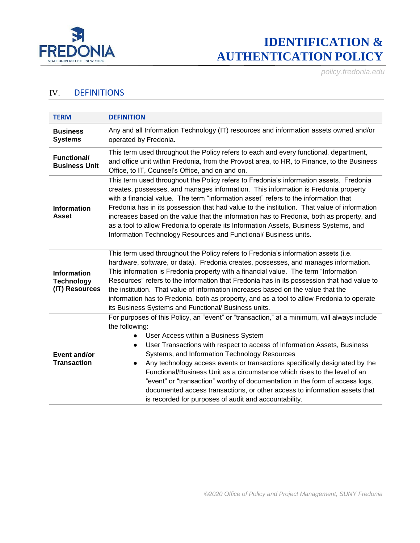

*policy.fredonia.edu*

### IV. DEFINITIONS

| <b>TERM</b>                                               | <b>DEFINITION</b>                                                                                                                                                                                                                                                                                                                                                                                                                                                                                                                                                                                                                                                                               |  |  |
|-----------------------------------------------------------|-------------------------------------------------------------------------------------------------------------------------------------------------------------------------------------------------------------------------------------------------------------------------------------------------------------------------------------------------------------------------------------------------------------------------------------------------------------------------------------------------------------------------------------------------------------------------------------------------------------------------------------------------------------------------------------------------|--|--|
| <b>Business</b><br><b>Systems</b>                         | Any and all Information Technology (IT) resources and information assets owned and/or<br>operated by Fredonia.                                                                                                                                                                                                                                                                                                                                                                                                                                                                                                                                                                                  |  |  |
| <b>Functional/</b><br><b>Business Unit</b>                | This term used throughout the Policy refers to each and every functional, department,<br>and office unit within Fredonia, from the Provost area, to HR, to Finance, to the Business<br>Office, to IT, Counsel's Office, and on and on.                                                                                                                                                                                                                                                                                                                                                                                                                                                          |  |  |
| <b>Information</b><br><b>Asset</b>                        | This term used throughout the Policy refers to Fredonia's information assets. Fredonia<br>creates, possesses, and manages information. This information is Fredonia property<br>with a financial value. The term "information asset" refers to the information that<br>Fredonia has in its possession that had value to the institution. That value of information<br>increases based on the value that the information has to Fredonia, both as property, and<br>as a tool to allow Fredonia to operate its Information Assets, Business Systems, and<br>Information Technology Resources and Functional/ Business units.                                                                      |  |  |
| <b>Information</b><br><b>Technology</b><br>(IT) Resources | This term used throughout the Policy refers to Fredonia's information assets (i.e.<br>hardware, software, or data). Fredonia creates, possesses, and manages information.<br>This information is Fredonia property with a financial value. The term "Information<br>Resources" refers to the information that Fredonia has in its possession that had value to<br>the institution. That value of information increases based on the value that the<br>information has to Fredonia, both as property, and as a tool to allow Fredonia to operate<br>its Business Systems and Functional/ Business units.                                                                                         |  |  |
| Event and/or<br><b>Transaction</b>                        | For purposes of this Policy, an "event" or "transaction," at a minimum, will always include<br>the following:<br>User Access within a Business System<br>User Transactions with respect to access of Information Assets, Business<br>$\bullet$<br>Systems, and Information Technology Resources<br>Any technology access events or transactions specifically designated by the<br>$\bullet$<br>Functional/Business Unit as a circumstance which rises to the level of an<br>"event" or "transaction" worthy of documentation in the form of access logs,<br>documented access transactions, or other access to information assets that<br>is recorded for purposes of audit and accountability. |  |  |